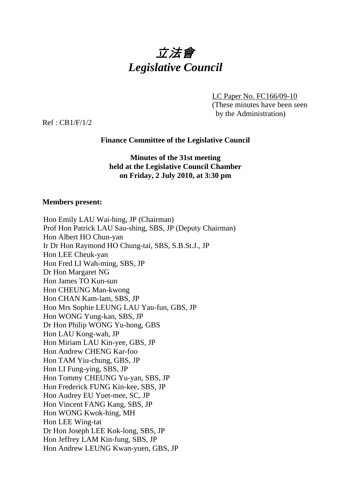

LC Paper No. FC166/09-10 (These minutes have been seen by the Administration)

Ref : CB1/F/1/2

## **Finance Committee of the Legislative Council**

## **Minutes of the 31st meeting held at the Legislative Council Chamber on Friday, 2 July 2010, at 3:30 pm**

### **Members present:**

| Hon Emily LAU Wai-hing, JP (Chairman)                     |
|-----------------------------------------------------------|
| Prof Hon Patrick LAU Sau-shing, SBS, JP (Deputy Chairman) |
| Hon Albert HO Chun-yan                                    |
| Ir Dr Hon Raymond HO Chung-tai, SBS, S.B.St.J., JP        |
| Hon LEE Cheuk-yan                                         |
| Hon Fred LI Wah-ming, SBS, JP                             |
| Dr Hon Margaret NG                                        |
| Hon James TO Kun-sun                                      |
| Hon CHEUNG Man-kwong                                      |
| Hon CHAN Kam-lam, SBS, JP                                 |
| Hon Mrs Sophie LEUNG LAU Yau-fun, GBS, JP                 |
| Hon WONG Yung-kan, SBS, JP                                |
| Dr Hon Philip WONG Yu-hong, GBS                           |
| Hon LAU Kong-wah, JP                                      |
| Hon Miriam LAU Kin-yee, GBS, JP                           |
| Hon Andrew CHENG Kar-foo                                  |
| Hon TAM Yiu-chung, GBS, JP                                |
| Hon LI Fung-ying, SBS, JP                                 |
| Hon Tommy CHEUNG Yu-yan, SBS, JP                          |
| Hon Frederick FUNG Kin-kee, SBS, JP                       |
| Hon Audrey EU Yuet-mee, SC, JP                            |
| Hon Vincent FANG Kang, SBS, JP                            |
| Hon WONG Kwok-hing, MH                                    |
| Hon LEE Wing-tat                                          |
| Dr Hon Joseph LEE Kok-long, SBS, JP                       |
| Hon Jeffrey LAM Kin-fung, SBS, JP                         |
| Hon Andrew LEUNG Kwan-yuen, GBS, JP                       |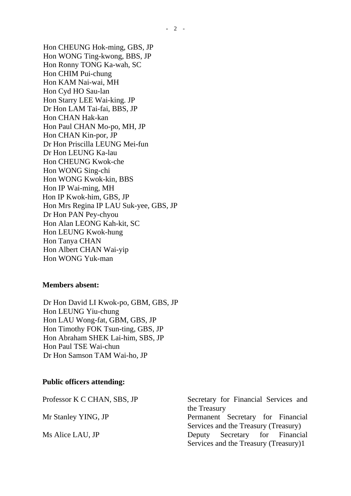Hon CHEUNG Hok-ming, GBS, JP Hon WONG Ting-kwong, BBS, JP Hon Ronny TONG Ka-wah, SC Hon CHIM Pui-chung Hon KAM Nai-wai, MH Hon Cyd HO Sau-lan Hon Starry LEE Wai-king. JP Dr Hon LAM Tai-fai, BBS, JP Hon CHAN Hak-kan Hon Paul CHAN Mo-po, MH, JP Hon CHAN Kin-por, JP Dr Hon Priscilla LEUNG Mei-fun Dr Hon LEUNG Ka-lau Hon CHEUNG Kwok-che Hon WONG Sing-chi Hon WONG Kwok-kin, BBS Hon IP Wai-ming, MH Hon IP Kwok-him, GBS, JP Hon Mrs Regina IP LAU Suk-yee, GBS, JP Dr Hon PAN Pey-chyou Hon Alan LEONG Kah-kit, SC Hon LEUNG Kwok-hung Hon Tanya CHAN Hon Albert CHAN Wai-yip Hon WONG Yuk-man

#### **Members absent:**

Dr Hon David LI Kwok-po, GBM, GBS, JP Hon LEUNG Yiu-chung Hon LAU Wong-fat, GBM, GBS, JP Hon Timothy FOK Tsun-ting, GBS, JP Hon Abraham SHEK Lai-him, SBS, JP Hon Paul TSE Wai-chun Dr Hon Samson TAM Wai-ho, JP

#### **Public officers attending:**

| Professor K C CHAN, SBS, JP | Secretary for Financial Services and  |
|-----------------------------|---------------------------------------|
|                             | the Treasury                          |
| Mr Stanley YING, JP         | Permanent Secretary for Financial     |
|                             | Services and the Treasury (Treasury)  |
| Ms Alice LAU, JP            | Deputy Secretary for Financial        |
|                             | Services and the Treasury (Treasury)1 |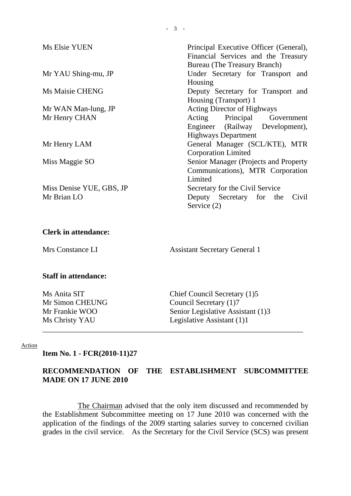| Ms Elsie YUEN                           | Principal Executive Officer (General),<br>Financial Services and the Treasury<br>Bureau (The Treasury Branch) |
|-----------------------------------------|---------------------------------------------------------------------------------------------------------------|
| Mr YAU Shing-mu, JP                     | Under Secretary for Transport and<br>Housing                                                                  |
| Ms Maisie CHENG                         | Deputy Secretary for Transport and<br>Housing (Transport) 1                                                   |
| Mr WAN Man-lung, JP                     | <b>Acting Director of Highways</b>                                                                            |
| Mr Henry CHAN                           | Acting Principal Government                                                                                   |
|                                         | Engineer (Railway Development),<br><b>Highways Department</b>                                                 |
| Mr Henry LAM                            | General Manager (SCL/KTE), MTR<br><b>Corporation Limited</b>                                                  |
| Miss Maggie SO                          | Senior Manager (Projects and Property<br>Communications), MTR Corporation<br>Limited                          |
| Miss Denise YUE, GBS, JP<br>Mr Brian LO | Secretary for the Civil Service<br>Deputy Secretary for the Civil<br>Service (2)                              |

### **Clerk in attendance:**

Mrs Constance LI Assistant Secretary General 1

### **Staff in attendance:**

Ms Anita SIT Chief Council Secretary (1)5 Mr Simon CHEUNG Council Secretary (1)7 Mr Frankie WOO Senior Legislative Assistant (1)3 Ms Christy YAU Legislative Assistant (1)1

#### Action

**Item No. 1 - FCR(2010-11)27** 

## **RECOMMENDATION OF THE ESTABLISHMENT SUBCOMMITTEE MADE ON 17 JUNE 2010**

\_\_\_\_\_\_\_\_\_\_\_\_\_\_\_\_\_\_\_\_\_\_\_\_\_\_\_\_\_\_\_\_\_\_\_\_\_\_\_\_\_\_\_\_\_\_\_\_\_\_\_\_\_\_\_\_\_\_\_\_\_\_\_\_\_\_\_\_

The Chairman advised that the only item discussed and recommended by the Establishment Subcommittee meeting on 17 June 2010 was concerned with the application of the findings of the 2009 starting salaries survey to concerned civilian grades in the civil service. As the Secretary for the Civil Service (SCS) was present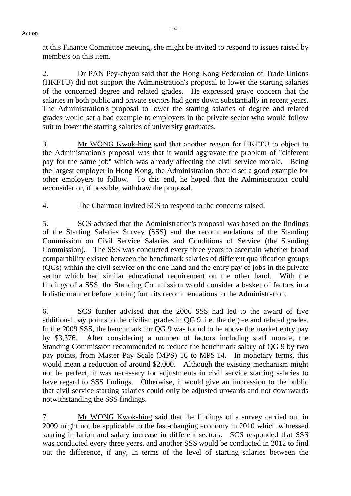**-** 4 - Action

at this Finance Committee meeting, she might be invited to respond to issues raised by members on this item.

2. Dr PAN Pey-chyou said that the Hong Kong Federation of Trade Unions (HKFTU) did not support the Administration's proposal to lower the starting salaries of the concerned degree and related grades. He expressed grave concern that the salaries in both public and private sectors had gone down substantially in recent years. The Administration's proposal to lower the starting salaries of degree and related grades would set a bad example to employers in the private sector who would follow suit to lower the starting salaries of university graduates.

3. Mr WONG Kwok-hing said that another reason for HKFTU to object to the Administration's proposal was that it would aggravate the problem of "different pay for the same job" which was already affecting the civil service morale. Being the largest employer in Hong Kong, the Administration should set a good example for other employers to follow. To this end, he hoped that the Administration could reconsider or, if possible, withdraw the proposal.

4. The Chairman invited SCS to respond to the concerns raised.

5. SCS advised that the Administration's proposal was based on the findings of the Starting Salaries Survey (SSS) and the recommendations of the Standing Commission on Civil Service Salaries and Conditions of Service (the Standing Commission). The SSS was conducted every three years to ascertain whether broad comparability existed between the benchmark salaries of different qualification groups (QGs) within the civil service on the one hand and the entry pay of jobs in the private sector which had similar educational requirement on the other hand. With the findings of a SSS, the Standing Commission would consider a basket of factors in a holistic manner before putting forth its recommendations to the Administration.

6. SCS further advised that the 2006 SSS had led to the award of five additional pay points to the civilian grades in QG 9, i.e. the degree and related grades. In the 2009 SSS, the benchmark for QG 9 was found to be above the market entry pay by \$3,376. After considering a number of factors including staff morale, the Standing Commission recommended to reduce the benchmark salary of QG 9 by two pay points, from Master Pay Scale (MPS) 16 to MPS 14. In monetary terms, this would mean a reduction of around \$2,000. Although the existing mechanism might not be perfect, it was necessary for adjustments in civil service starting salaries to have regard to SSS findings. Otherwise, it would give an impression to the public that civil service starting salaries could only be adjusted upwards and not downwards notwithstanding the SSS findings.

7. Mr WONG Kwok-hing said that the findings of a survey carried out in 2009 might not be applicable to the fast-changing economy in 2010 which witnessed soaring inflation and salary increase in different sectors. SCS responded that SSS was conducted every three years, and another SSS would be conducted in 2012 to find out the difference, if any, in terms of the level of starting salaries between the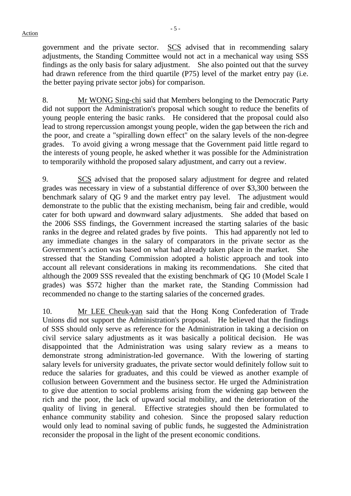government and the private sector. SCS advised that in recommending salary adjustments, the Standing Committee would not act in a mechanical way using SSS findings as the only basis for salary adjustment. She also pointed out that the survey had drawn reference from the third quartile (P75) level of the market entry pay (i.e. the better paying private sector jobs) for comparison.

8. Mr WONG Sing-chi said that Members belonging to the Democratic Party did not support the Administration's proposal which sought to reduce the benefits of young people entering the basic ranks. He considered that the proposal could also lead to strong repercussion amongst young people, widen the gap between the rich and the poor, and create a "spiralling down effect" on the salary levels of the non-degree grades. To avoid giving a wrong message that the Government paid little regard to the interests of young people, he asked whether it was possible for the Administration to temporarily withhold the proposed salary adjustment, and carry out a review.

9. SCS advised that the proposed salary adjustment for degree and related grades was necessary in view of a substantial difference of over \$3,300 between the benchmark salary of QG 9 and the market entry pay level. The adjustment would demonstrate to the public that the existing mechanism, being fair and credible, would cater for both upward and downward salary adjustments. She added that based on the 2006 SSS findings, the Government increased the starting salaries of the basic ranks in the degree and related grades by five points. This had apparently not led to any immediate changes in the salary of comparators in the private sector as the Government's action was based on what had already taken place in the market. She stressed that the Standing Commission adopted a holistic approach and took into account all relevant considerations in making its recommendations. She cited that although the 2009 SSS revealed that the existing benchmark of QG 10 (Model Scale I grades) was \$572 higher than the market rate, the Standing Commission had recommended no change to the starting salaries of the concerned grades.

10. Mr LEE Cheuk-yan said that the Hong Kong Confederation of Trade Unions did not support the Administration's proposal. He believed that the findings of SSS should only serve as reference for the Administration in taking a decision on civil service salary adjustments as it was basically a political decision. He was disappointed that the Administration was using salary review as a means to demonstrate strong administration-led governance. With the lowering of starting salary levels for university graduates, the private sector would definitely follow suit to reduce the salaries for graduates, and this could be viewed as another example of collusion between Government and the business sector. He urged the Administration to give due attention to social problems arising from the widening gap between the rich and the poor, the lack of upward social mobility, and the deterioration of the quality of living in general. Effective strategies should then be formulated to enhance community stability and cohesion. Since the proposed salary reduction would only lead to nominal saving of public funds, he suggested the Administration reconsider the proposal in the light of the present economic conditions.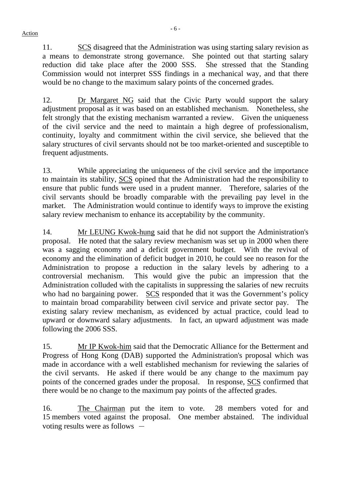**-** 6 - Action

11. SCS disagreed that the Administration was using starting salary revision as a means to demonstrate strong governance. She pointed out that starting salary reduction did take place after the 2000 SSS. She stressed that the Standing Commission would not interpret SSS findings in a mechanical way, and that there would be no change to the maximum salary points of the concerned grades.

12. Dr Margaret NG said that the Civic Party would support the salary adjustment proposal as it was based on an established mechanism. Nonetheless, she felt strongly that the existing mechanism warranted a review. Given the uniqueness of the civil service and the need to maintain a high degree of professionalism, continuity, loyalty and commitment within the civil service, she believed that the salary structures of civil servants should not be too market-oriented and susceptible to frequent adjustments.

13. While appreciating the uniqueness of the civil service and the importance to maintain its stability, SCS opined that the Administration had the responsibility to ensure that public funds were used in a prudent manner. Therefore, salaries of the civil servants should be broadly comparable with the prevailing pay level in the market. The Administration would continue to identify ways to improve the existing salary review mechanism to enhance its acceptability by the community.

14. Mr LEUNG Kwok-hung said that he did not support the Administration's proposal. He noted that the salary review mechanism was set up in 2000 when there was a sagging economy and a deficit government budget. With the revival of economy and the elimination of deficit budget in 2010, he could see no reason for the Administration to propose a reduction in the salary levels by adhering to a controversial mechanism. This would give the pubic an impression that the Administration colluded with the capitalists in suppressing the salaries of new recruits who had no bargaining power. SCS responded that it was the Government's policy to maintain broad comparability between civil service and private sector pay. The existing salary review mechanism, as evidenced by actual practice, could lead to upward or downward salary adjustments. In fact, an upward adjustment was made following the 2006 SSS.

15. Mr IP Kwok-him said that the Democratic Alliance for the Betterment and Progress of Hong Kong (DAB) supported the Administration's proposal which was made in accordance with a well established mechanism for reviewing the salaries of the civil servants. He asked if there would be any change to the maximum pay points of the concerned grades under the proposal. In response, SCS confirmed that there would be no change to the maximum pay points of the affected grades.

16. The Chairman put the item to vote. 28 members voted for and 15 members voted against the proposal. One member abstained. The individual voting results were as follows  $-$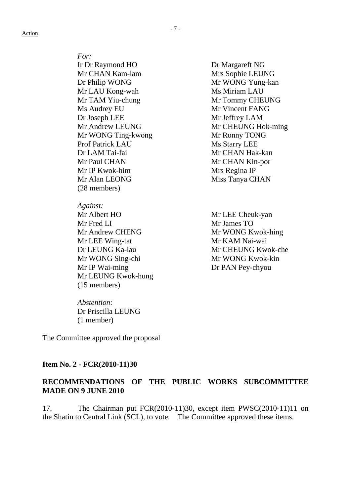*For:* Ir Dr Raymond HO Dr Margareft NG Mr CHAN Kam-lam Mrs Sophie LEUNG Dr Philip WONG Mr WONG Yung-kan Mr LAU Kong-wah Ms Miriam LAU Mr TAM Yiu-chung Mr Tommy CHEUNG Ms Audrey EU Mr Vincent FANG Dr Joseph LEE Mr Jeffrey LAM Mr WONG Ting-kwong Mr Ronny TONG Prof Patrick LAU Ms Starry LEE Dr LAM Tai-fai Mr CHAN Hak-kan Mr Paul CHAN Mr CHAN Kin-por Mr IP Kwok-him Mrs Regina IP Mr Alan LEONG Miss Tanya CHAN (28 members)

*Against:* Mr Albert HO Mr LEE Cheuk-yan Mr Fred LI Mr James TO Mr Andrew CHENG Mr WONG Kwok-hing Mr LEE Wing-tat Mr KAM Nai-wai Mr WONG Sing-chi Mr WONG Kwok-kin Mr IP Wai-ming Dr PAN Pey-chyou Mr LEUNG Kwok-hung (15 members)

*Abstention:* Dr Priscilla LEUNG (1 member)

The Committee approved the proposal

#### **Item No. 2 - FCR(2010-11)30**

## **RECOMMENDATIONS OF THE PUBLIC WORKS SUBCOMMITTEE MADE ON 9 JUNE 2010**

17. The Chairman put FCR(2010-11)30, except item PWSC(2010-11)11 on the Shatin to Central Link (SCL), to vote. The Committee approved these items.

Mr Andrew LEUNG Mr CHEUNG Hok-ming

Dr LEUNG Ka-lau Mr CHEUNG Kwok-che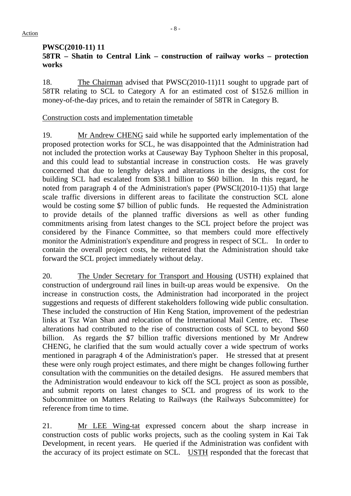### **PWSC(2010-11) 11 58TR – Shatin to Central Link – construction of railway works – protection works**

18. The Chairman advised that PWSC(2010-11)11 sought to upgrade part of 58TR relating to SCL to Category A for an estimated cost of \$152.6 million in money-of-the-day prices, and to retain the remainder of 58TR in Category B.

## Construction costs and implementation timetable

19. Mr Andrew CHENG said while he supported early implementation of the proposed protection works for SCL, he was disappointed that the Administration had not included the protection works at Causeway Bay Typhoon Shelter in this proposal, and this could lead to substantial increase in construction costs. He was gravely concerned that due to lengthy delays and alterations in the designs, the cost for building SCL had escalated from \$38.1 billion to \$60 billion. In this regard, he noted from paragraph 4 of the Administration's paper (PWSCI(2010-11)5) that large scale traffic diversions in different areas to facilitate the construction SCL alone would be costing some \$7 billion of public funds. He requested the Administration to provide details of the planned traffic diversions as well as other funding commitments arising from latest changes to the SCL project before the project was considered by the Finance Committee, so that members could more effectively monitor the Administration's expenditure and progress in respect of SCL. In order to contain the overall project costs, he reiterated that the Administration should take forward the SCL project immediately without delay.

20. The Under Secretary for Transport and Housing (USTH) explained that construction of underground rail lines in built-up areas would be expensive. On the increase in construction costs, the Administration had incorporated in the project suggestions and requests of different stakeholders following wide public consultation. These included the construction of Hin Keng Station, improvement of the pedestrian links at Tsz Wan Shan and relocation of the International Mail Centre, etc. These alterations had contributed to the rise of construction costs of SCL to beyond \$60 billion. As regards the \$7 billion traffic diversions mentioned by Mr Andrew CHENG, he clarified that the sum would actually cover a wide spectrum of works mentioned in paragraph 4 of the Administration's paper. He stressed that at present these were only rough project estimates, and there might be changes following further consultation with the communities on the detailed designs. He assured members that the Administration would endeavour to kick off the SCL project as soon as possible, and submit reports on latest changes to SCL and progress of its work to the Subcommittee on Matters Relating to Railways (the Railways Subcommittee) for reference from time to time.

21. Mr LEE Wing-tat expressed concern about the sharp increase in construction costs of public works projects, such as the cooling system in Kai Tak Development, in recent years. He queried if the Administration was confident with the accuracy of its project estimate on SCL. USTH responded that the forecast that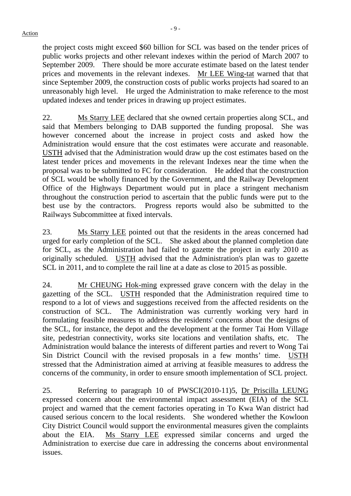**-** 9 - Action

the project costs might exceed \$60 billion for SCL was based on the tender prices of public works projects and other relevant indexes within the period of March 2007 to September 2009. There should be more accurate estimate based on the latest tender prices and movements in the relevant indexes. Mr LEE Wing-tat warned that that since September 2009, the construction costs of public works projects had soared to an unreasonably high level. He urged the Administration to make reference to the most updated indexes and tender prices in drawing up project estimates.

22. Ms Starry LEE declared that she owned certain properties along SCL, and said that Members belonging to DAB supported the funding proposal. She was however concerned about the increase in project costs and asked how the Administration would ensure that the cost estimates were accurate and reasonable. USTH advised that the Administration would draw up the cost estimates based on the latest tender prices and movements in the relevant Indexes near the time when the proposal was to be submitted to FC for consideration. He added that the construction of SCL would be wholly financed by the Government, and the Railway Development Office of the Highways Department would put in place a stringent mechanism throughout the construction period to ascertain that the public funds were put to the best use by the contractors. Progress reports would also be submitted to the Railways Subcommittee at fixed intervals.

23. Ms Starry LEE pointed out that the residents in the areas concerned had urged for early completion of the SCL. She asked about the planned completion date for SCL, as the Administration had failed to gazette the project in early 2010 as originally scheduled. USTH advised that the Administration's plan was to gazette SCL in 2011, and to complete the rail line at a date as close to 2015 as possible.

24. Mr CHEUNG Hok-ming expressed grave concern with the delay in the gazetting of the SCL. USTH responded that the Administration required time to respond to a lot of views and suggestions received from the affected residents on the construction of SCL. The Administration was currently working very hard in formulating feasible measures to address the residents' concerns about the designs of the SCL, for instance, the depot and the development at the former Tai Hom Village site, pedestrian connectivity, works site locations and ventilation shafts, etc. The Administration would balance the interests of different parties and revert to Wong Tai Sin District Council with the revised proposals in a few months' time. USTH stressed that the Administration aimed at arriving at feasible measures to address the concerns of the community, in order to ensure smooth implementation of SCL project.

25. Referring to paragraph 10 of PWSCI(2010-11)5, Dr Priscilla LEUNG expressed concern about the environmental impact assessment (EIA) of the SCL project and warned that the cement factories operating in To Kwa Wan district had caused serious concern to the local residents. She wondered whether the Kowloon City District Council would support the environmental measures given the complaints about the EIA. Ms Starry LEE expressed similar concerns and urged the Administration to exercise due care in addressing the concerns about environmental issues.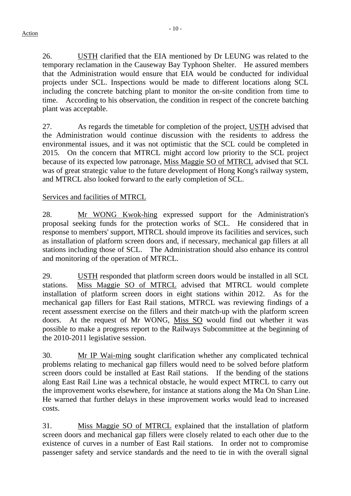26. USTH clarified that the EIA mentioned by Dr LEUNG was related to the temporary reclamation in the Causeway Bay Typhoon Shelter. He assured members that the Administration would ensure that EIA would be conducted for individual projects under SCL. Inspections would be made to different locations along SCL including the concrete batching plant to monitor the on-site condition from time to time. According to his observation, the condition in respect of the concrete batching plant was acceptable.

27. As regards the timetable for completion of the project, USTH advised that the Administration would continue discussion with the residents to address the environmental issues, and it was not optimistic that the SCL could be completed in 2015. On the concern that MTRCL might accord low priority to the SCL project because of its expected low patronage, Miss Maggie SO of MTRCL advised that SCL was of great strategic value to the future development of Hong Kong's railway system, and MTRCL also looked forward to the early completion of SCL.

# Services and facilities of MTRCL

28. Mr WONG Kwok-hing expressed support for the Administration's proposal seeking funds for the protection works of SCL. He considered that in response to members' support, MTRCL should improve its facilities and services, such as installation of platform screen doors and, if necessary, mechanical gap fillers at all stations including those of SCL. The Administration should also enhance its control and monitoring of the operation of MTRCL.

29. USTH responded that platform screen doors would be installed in all SCL stations. Miss Maggie SO of MTRCL advised that MTRCL would complete installation of platform screen doors in eight stations within 2012. As for the mechanical gap fillers for East Rail stations, MTRCL was reviewing findings of a recent assessment exercise on the fillers and their match-up with the platform screen doors. At the request of Mr WONG, Miss SO would find out whether it was possible to make a progress report to the Railways Subcommittee at the beginning of the 2010-2011 legislative session.

30. Mr IP Wai-ming sought clarification whether any complicated technical problems relating to mechanical gap fillers would need to be solved before platform screen doors could be installed at East Rail stations. If the bending of the stations along East Rail Line was a technical obstacle, he would expect MTRCL to carry out the improvement works elsewhere, for instance at stations along the Ma On Shan Line. He warned that further delays in these improvement works would lead to increased costs.

31. Miss Maggie SO of MTRCL explained that the installation of platform screen doors and mechanical gap fillers were closely related to each other due to the existence of curves in a number of East Rail stations. In order not to compromise passenger safety and service standards and the need to tie in with the overall signal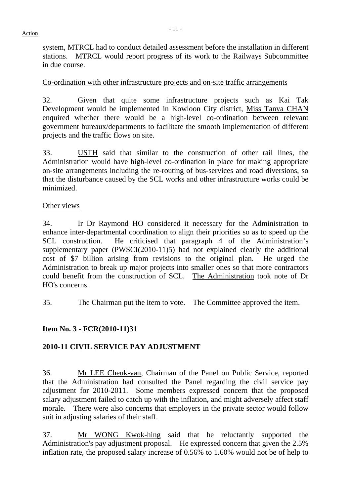system, MTRCL had to conduct detailed assessment before the installation in different stations. MTRCL would report progress of its work to the Railways Subcommittee in due course.

# Co-ordination with other infrastructure projects and on-site traffic arrangements

32. Given that quite some infrastructure projects such as Kai Tak Development would be implemented in Kowloon City district, Miss Tanya CHAN enquired whether there would be a high-level co-ordination between relevant government bureaux/departments to facilitate the smooth implementation of different projects and the traffic flows on site.

33. USTH said that similar to the construction of other rail lines, the Administration would have high-level co-ordination in place for making appropriate on-site arrangements including the re-routing of bus-services and road diversions, so that the disturbance caused by the SCL works and other infrastructure works could be minimized.

# Other views

34. Ir Dr Raymond HO considered it necessary for the Administration to enhance inter-departmental coordination to align their priorities so as to speed up the SCL construction. He criticised that paragraph 4 of the Administration's supplementary paper (PWSCI(2010-11)5) had not explained clearly the additional cost of \$7 billion arising from revisions to the original plan. He urged the Administration to break up major projects into smaller ones so that more contractors could benefit from the construction of SCL. The Administration took note of Dr HO's concerns.

35. The Chairman put the item to vote. The Committee approved the item.

# **Item No. 3 - FCR(2010-11)31**

# **2010-11 CIVIL SERVICE PAY ADJUSTMENT**

36. Mr LEE Cheuk-yan, Chairman of the Panel on Public Service, reported that the Administration had consulted the Panel regarding the civil service pay adjustment for 2010-2011. Some members expressed concern that the proposed salary adjustment failed to catch up with the inflation, and might adversely affect staff morale. There were also concerns that employers in the private sector would follow suit in adjusting salaries of their staff.

37. Mr WONG Kwok-hing said that he reluctantly supported the Administration's pay adjustment proposal. He expressed concern that given the 2.5% inflation rate, the proposed salary increase of 0.56% to 1.60% would not be of help to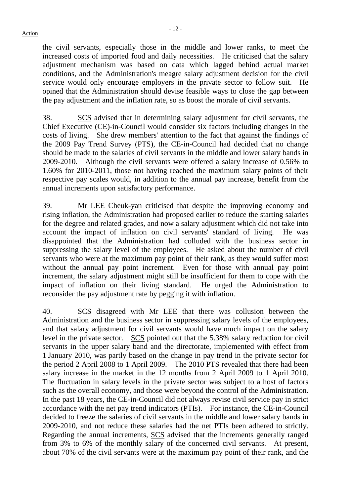the civil servants, especially those in the middle and lower ranks, to meet the increased costs of imported food and daily necessities. He criticised that the salary adjustment mechanism was based on data which lagged behind actual market conditions, and the Administration's meagre salary adjustment decision for the civil service would only encourage employers in the private sector to follow suit. He opined that the Administration should devise feasible ways to close the gap between the pay adjustment and the inflation rate, so as boost the morale of civil servants.

38. SCS advised that in determining salary adjustment for civil servants, the Chief Executive (CE)-in-Council would consider six factors including changes in the costs of living. She drew members' attention to the fact that against the findings of the 2009 Pay Trend Survey (PTS), the CE-in-Council had decided that no change should be made to the salaries of civil servants in the middle and lower salary bands in 2009-2010. Although the civil servants were offered a salary increase of 0.56% to 1.60% for 2010-2011, those not having reached the maximum salary points of their respective pay scales would, in addition to the annual pay increase, benefit from the annual increments upon satisfactory performance.

39. Mr LEE Cheuk-yan criticised that despite the improving economy and rising inflation, the Administration had proposed earlier to reduce the starting salaries for the degree and related grades, and now a salary adjustment which did not take into account the impact of inflation on civil servants' standard of living. He was disappointed that the Administration had colluded with the business sector in suppressing the salary level of the employees. He asked about the number of civil servants who were at the maximum pay point of their rank, as they would suffer most without the annual pay point increment. Even for those with annual pay point increment, the salary adjustment might still be insufficient for them to cope with the impact of inflation on their living standard. He urged the Administration to reconsider the pay adjustment rate by pegging it with inflation.

40. SCS disagreed with Mr LEE that there was collusion between the Administration and the business sector in suppressing salary levels of the employees, and that salary adjustment for civil servants would have much impact on the salary level in the private sector. SCS pointed out that the 5.38% salary reduction for civil servants in the upper salary band and the directorate, implemented with effect from 1 January 2010, was partly based on the change in pay trend in the private sector for the period 2 April 2008 to 1 April 2009. The 2010 PTS revealed that there had been salary increase in the market in the 12 months from 2 April 2009 to 1 April 2010. The fluctuation in salary levels in the private sector was subject to a host of factors such as the overall economy, and those were beyond the control of the Administration. In the past 18 years, the CE-in-Council did not always revise civil service pay in strict accordance with the net pay trend indicators (PTIs). For instance, the CE-in-Council decided to freeze the salaries of civil servants in the middle and lower salary bands in 2009-2010, and not reduce these salaries had the net PTIs been adhered to strictly. Regarding the annual increments, SCS advised that the increments generally ranged from 3% to 6% of the monthly salary of the concerned civil servants. At present, about 70% of the civil servants were at the maximum pay point of their rank, and the